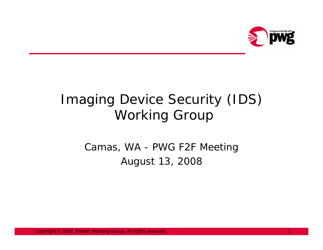

## Imaging Device Security (IDS) Working Group

Camas, WA - PWG F2F Meeting August 13, 2008

Copyright © 2008, Printer Working Group. All rights reserved. 1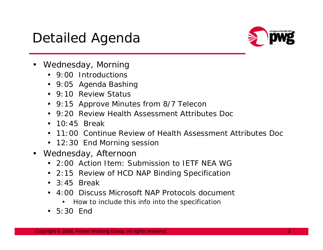## Detailed Agenda



- Wednesday, Morning
	- 9:00 Introductions
	- 9:05 Agenda Bashing
	- 9:10 Review Status
	- 9:15 Approve Minutes from 8/7 Telecon
	- 9:20 Review Health Assessment Attributes Doc
	- $\cdot$  10:45 Break
	- 11:00 Continue Review of Health Assessment Attributes Doc
	- 12:30 End Morning session
- Wednesday, Afternoon
	- 2:00 Action Item: Submission to IETF NEA WG
	- 2:15 Review of HCD NAP Binding Specification
	- $\bullet$  3:45 Break
	- 4:00 Discuss Microsoft NAP Protocols document
		- How to include this info into the specification
	- 5:30 End